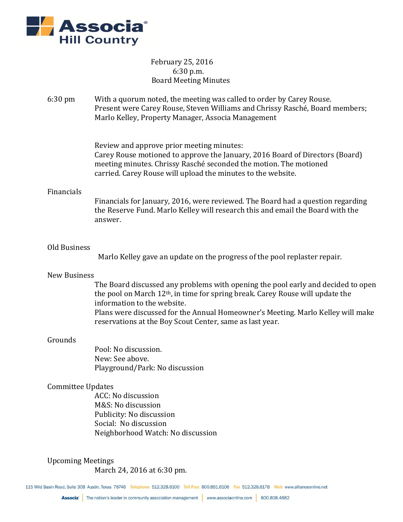

# February 25, 2016 6:30 p.m. Board Meeting Minutes

6:30 pm With a quorum noted, the meeting was called to order by Carey Rouse. Present were Carey Rouse, Steven Williams and Chrissy Rasché, Board members; Marlo Kelley, Property Manager, Associa Management

Review and approve prior meeting minutes:

Carey Rouse motioned to approve the January, 2016 Board of Directors (Board) meeting minutes. Chrissy Rasché seconded the motion. The motioned carried. Carey Rouse will upload the minutes to the website.

## Financials

Financials for January, 2016, were reviewed. The Board had a question regarding the Reserve Fund. Marlo Kelley will research this and email the Board with the answer.

## Old Business

Marlo Kelley gave an update on the progress of the pool replaster repair.

#### New Business

The Board discussed any problems with opening the pool early and decided to open the pool on March 12th, in time for spring break. Carey Rouse will update the information to the website. Plans were discussed for the Annual Homeowner's Meeting. Marlo Kelley will make reservations at the Boy Scout Center, same as last year.

#### Grounds

Pool: No discussion. New: See above. Playground/Park: No discussion

# Committee Updates

ACC: No discussion M&S: No discussion Publicity: No discussion Social: No discussion Neighborhood Watch: No discussion

# Upcoming Meetings

March 24, 2016 at 6:30 pm.